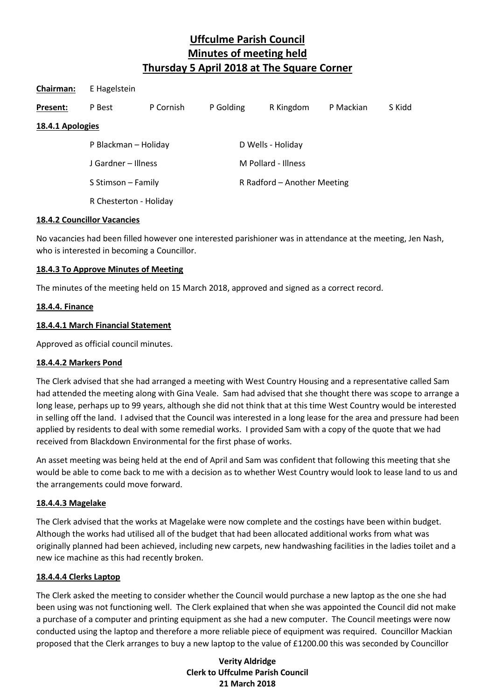| Chairman:        | E Hagelstein           |           |                   |                             |           |        |
|------------------|------------------------|-----------|-------------------|-----------------------------|-----------|--------|
| Present:         | P Best                 | P Cornish | P Golding         | R Kingdom                   | P Mackian | S Kidd |
| 18.4.1 Apologies |                        |           |                   |                             |           |        |
|                  | P Blackman - Holiday   |           | D Wells - Holiday |                             |           |        |
|                  | J Gardner – Illness    |           |                   | M Pollard - Illness         |           |        |
|                  | S Stimson - Family     |           |                   | R Radford - Another Meeting |           |        |
|                  | R Chesterton - Holiday |           |                   |                             |           |        |

#### **18.4.2 Councillor Vacancies**

No vacancies had been filled however one interested parishioner was in attendance at the meeting, Jen Nash, who is interested in becoming a Councillor.

## **18.4.3 To Approve Minutes of Meeting**

The minutes of the meeting held on 15 March 2018, approved and signed as a correct record.

#### **18.4.4. Finance**

#### **18.4.4.1 March Financial Statement**

Approved as official council minutes.

## **18.4.4.2 Markers Pond**

The Clerk advised that she had arranged a meeting with West Country Housing and a representative called Sam had attended the meeting along with Gina Veale. Sam had advised that she thought there was scope to arrange a long lease, perhaps up to 99 years, although she did not think that at this time West Country would be interested in selling off the land. I advised that the Council was interested in a long lease for the area and pressure had been applied by residents to deal with some remedial works. I provided Sam with a copy of the quote that we had received from Blackdown Environmental for the first phase of works.

An asset meeting was being held at the end of April and Sam was confident that following this meeting that she would be able to come back to me with a decision as to whether West Country would look to lease land to us and the arrangements could move forward.

#### **18.4.4.3 Magelake**

The Clerk advised that the works at Magelake were now complete and the costings have been within budget. Although the works had utilised all of the budget that had been allocated additional works from what was originally planned had been achieved, including new carpets, new handwashing facilities in the ladies toilet and a new ice machine as this had recently broken.

#### **18.4.4.4 Clerks Laptop**

The Clerk asked the meeting to consider whether the Council would purchase a new laptop as the one she had been using was not functioning well. The Clerk explained that when she was appointed the Council did not make a purchase of a computer and printing equipment as she had a new computer. The Council meetings were now conducted using the laptop and therefore a more reliable piece of equipment was required. Councillor Mackian proposed that the Clerk arranges to buy a new laptop to the value of £1200.00 this was seconded by Councillor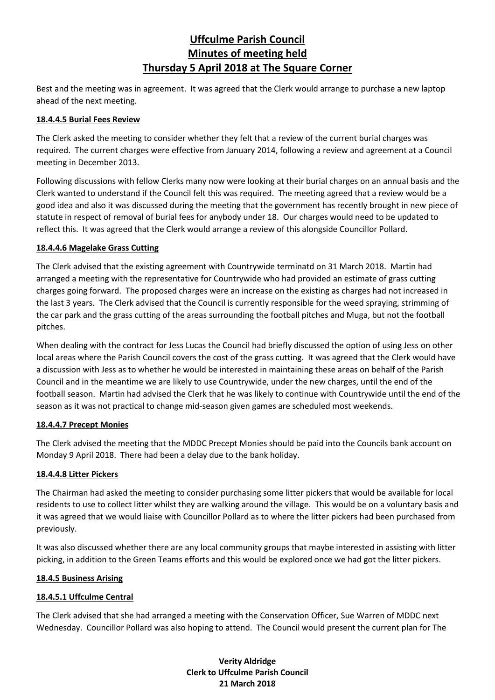Best and the meeting was in agreement. It was agreed that the Clerk would arrange to purchase a new laptop ahead of the next meeting.

## **18.4.4.5 Burial Fees Review**

The Clerk asked the meeting to consider whether they felt that a review of the current burial charges was required. The current charges were effective from January 2014, following a review and agreement at a Council meeting in December 2013.

Following discussions with fellow Clerks many now were looking at their burial charges on an annual basis and the Clerk wanted to understand if the Council felt this was required. The meeting agreed that a review would be a good idea and also it was discussed during the meeting that the government has recently brought in new piece of statute in respect of removal of burial fees for anybody under 18. Our charges would need to be updated to reflect this. It was agreed that the Clerk would arrange a review of this alongside Councillor Pollard.

## **18.4.4.6 Magelake Grass Cutting**

The Clerk advised that the existing agreement with Countrywide terminatd on 31 March 2018. Martin had arranged a meeting with the representative for Countrywide who had provided an estimate of grass cutting charges going forward. The proposed charges were an increase on the existing as charges had not increased in the last 3 years. The Clerk advised that the Council is currently responsible for the weed spraying, strimming of the car park and the grass cutting of the areas surrounding the football pitches and Muga, but not the football pitches.

When dealing with the contract for Jess Lucas the Council had briefly discussed the option of using Jess on other local areas where the Parish Council covers the cost of the grass cutting. It was agreed that the Clerk would have a discussion with Jess as to whether he would be interested in maintaining these areas on behalf of the Parish Council and in the meantime we are likely to use Countrywide, under the new charges, until the end of the football season. Martin had advised the Clerk that he was likely to continue with Countrywide until the end of the season as it was not practical to change mid-season given games are scheduled most weekends.

# **18.4.4.7 Precept Monies**

The Clerk advised the meeting that the MDDC Precept Monies should be paid into the Councils bank account on Monday 9 April 2018. There had been a delay due to the bank holiday.

## **18.4.4.8 Litter Pickers**

The Chairman had asked the meeting to consider purchasing some litter pickers that would be available for local residents to use to collect litter whilst they are walking around the village. This would be on a voluntary basis and it was agreed that we would liaise with Councillor Pollard as to where the litter pickers had been purchased from previously.

It was also discussed whether there are any local community groups that maybe interested in assisting with litter picking, in addition to the Green Teams efforts and this would be explored once we had got the litter pickers.

## **18.4.5 Business Arising**

# **18.4.5.1 Uffculme Central**

The Clerk advised that she had arranged a meeting with the Conservation Officer, Sue Warren of MDDC next Wednesday. Councillor Pollard was also hoping to attend. The Council would present the current plan for The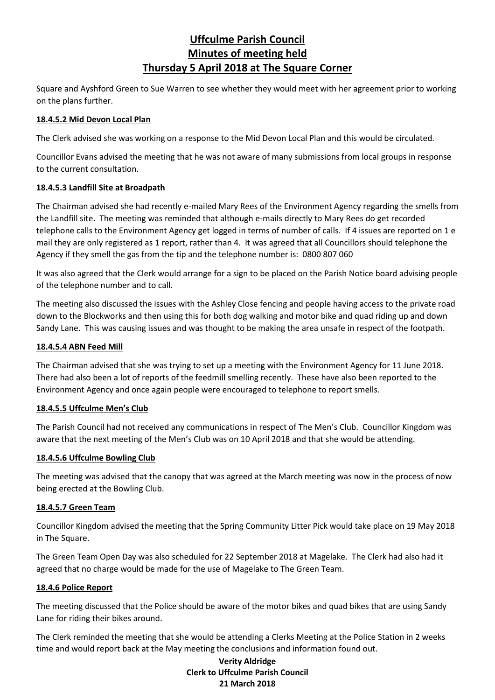Square and Ayshford Green to Sue Warren to see whether they would meet with her agreement prior to working on the plans further.

# **18.4.5.2 Mid Devon Local Plan**

The Clerk advised she was working on a response to the Mid Devon Local Plan and this would be circulated.

Councillor Evans advised the meeting that he was not aware of many submissions from local groups in response to the current consultation.

# **18.4.5.3 Landfill Site at Broadpath**

The Chairman advised she had recently e-mailed Mary Rees of the Environment Agency regarding the smells from the Landfill site. The meeting was reminded that although e-mails directly to Mary Rees do get recorded telephone calls to the Environment Agency get logged in terms of number of calls. If 4 issues are reported on 1 e mail they are only registered as 1 report, rather than 4. It was agreed that all Councillors should telephone the Agency if they smell the gas from the tip and the telephone number is: 0800 807 060

It was also agreed that the Clerk would arrange for a sign to be placed on the Parish Notice board advising people of the telephone number and to call.

The meeting also discussed the issues with the Ashley Close fencing and people having access to the private road down to the Blockworks and then using this for both dog walking and motor bike and quad riding up and down Sandy Lane. This was causing issues and was thought to be making the area unsafe in respect of the footpath.

# **18.4.5.4 ABN Feed Mill**

The Chairman advised that she was trying to set up a meeting with the Environment Agency for 11 June 2018. There had also been a lot of reports of the feedmill smelling recently. These have also been reported to the Environment Agency and once again people were encouraged to telephone to report smells.

## **18.4.5.5 Uffculme Men's Club**

The Parish Council had not received any communications in respect of The Men's Club. Councillor Kingdom was aware that the next meeting of the Men's Club was on 10 April 2018 and that she would be attending.

## **18.4.5.6 Uffculme Bowling Club**

The meeting was advised that the canopy that was agreed at the March meeting was now in the process of now being erected at the Bowling Club.

## **18.4.5.7 Green Team**

Councillor Kingdom advised the meeting that the Spring Community Litter Pick would take place on 19 May 2018 in The Square.

The Green Team Open Day was also scheduled for 22 September 2018 at Magelake. The Clerk had also had it agreed that no charge would be made for the use of Magelake to The Green Team.

## **18.4.6 Police Report**

The meeting discussed that the Police should be aware of the motor bikes and quad bikes that are using Sandy Lane for riding their bikes around.

The Clerk reminded the meeting that she would be attending a Clerks Meeting at the Police Station in 2 weeks time and would report back at the May meeting the conclusions and information found out.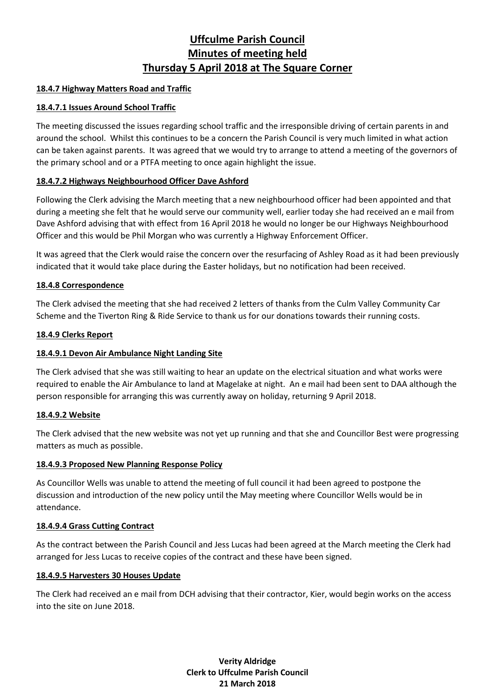## **18.4.7 Highway Matters Road and Traffic**

## **18.4.7.1 Issues Around School Traffic**

The meeting discussed the issues regarding school traffic and the irresponsible driving of certain parents in and around the school. Whilst this continues to be a concern the Parish Council is very much limited in what action can be taken against parents. It was agreed that we would try to arrange to attend a meeting of the governors of the primary school and or a PTFA meeting to once again highlight the issue.

# **18.4.7.2 Highways Neighbourhood Officer Dave Ashford**

Following the Clerk advising the March meeting that a new neighbourhood officer had been appointed and that during a meeting she felt that he would serve our community well, earlier today she had received an e mail from Dave Ashford advising that with effect from 16 April 2018 he would no longer be our Highways Neighbourhood Officer and this would be Phil Morgan who was currently a Highway Enforcement Officer.

It was agreed that the Clerk would raise the concern over the resurfacing of Ashley Road as it had been previously indicated that it would take place during the Easter holidays, but no notification had been received.

## **18.4.8 Correspondence**

The Clerk advised the meeting that she had received 2 letters of thanks from the Culm Valley Community Car Scheme and the Tiverton Ring & Ride Service to thank us for our donations towards their running costs.

## **18.4.9 Clerks Report**

## **18.4.9.1 Devon Air Ambulance Night Landing Site**

The Clerk advised that she was still waiting to hear an update on the electrical situation and what works were required to enable the Air Ambulance to land at Magelake at night. An e mail had been sent to DAA although the person responsible for arranging this was currently away on holiday, returning 9 April 2018.

## **18.4.9.2 Website**

The Clerk advised that the new website was not yet up running and that she and Councillor Best were progressing matters as much as possible.

## **18.4.9.3 Proposed New Planning Response Policy**

As Councillor Wells was unable to attend the meeting of full council it had been agreed to postpone the discussion and introduction of the new policy until the May meeting where Councillor Wells would be in attendance.

#### **18.4.9.4 Grass Cutting Contract**

As the contract between the Parish Council and Jess Lucas had been agreed at the March meeting the Clerk had arranged for Jess Lucas to receive copies of the contract and these have been signed.

## **18.4.9.5 Harvesters 30 Houses Update**

The Clerk had received an e mail from DCH advising that their contractor, Kier, would begin works on the access into the site on June 2018.